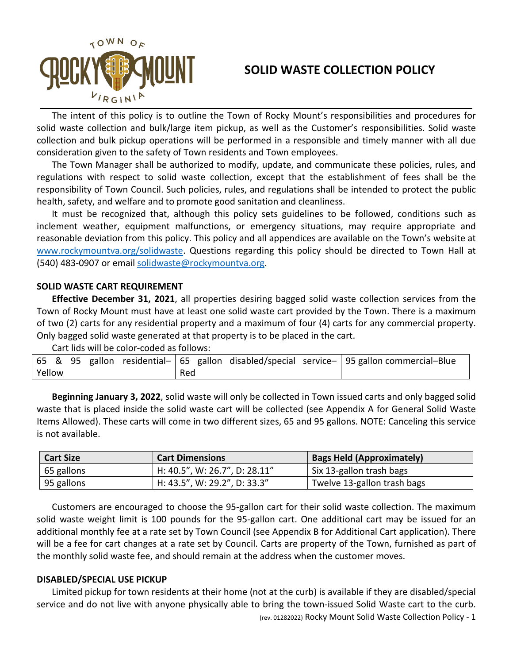

## **SOLID WASTE COLLECTION POLICY**

The intent of this policy is to outline the Town of Rocky Mount's responsibilities and procedures for solid waste collection and bulk/large item pickup, as well as the Customer's responsibilities. Solid waste collection and bulk pickup operations will be performed in a responsible and timely manner with all due consideration given to the safety of Town residents and Town employees.

The Town Manager shall be authorized to modify, update, and communicate these policies, rules, and regulations with respect to solid waste collection, except that the establishment of fees shall be the responsibility of Town Council. Such policies, rules, and regulations shall be intended to protect the public health, safety, and welfare and to promote good sanitation and cleanliness.

It must be recognized that, although this policy sets guidelines to be followed, conditions such as inclement weather, equipment malfunctions, or emergency situations, may require appropriate and reasonable deviation from this policy. This policy and all appendices are available on the Town's website at [www.rockymountva.org/](http://www.rockymountva.org/)solidwaste. Questions regarding this policy should be directed to Town Hall at (540) 483-0907 or email [solidwaste@rockymountva.org.](mailto:solidwaste@rockymountva.org)

### **SOLID WASTE CART REQUIREMENT**

**Effective December 31, 2021**, all properties desiring bagged solid waste collection services from the Town of Rocky Mount must have at least one solid waste cart provided by the Town. There is a maximum of two (2) carts for any residential property and a maximum of four (4) carts for any commercial property. Only bagged solid waste generated at that property is to be placed in the cart.

Cart lids will be color-coded as follows:

|        |  |  |     |  |  |  |  |  | 65 & 95 gallon residential- 65 gallon disabled/special service- 95 gallon commercial-Blue |
|--------|--|--|-----|--|--|--|--|--|-------------------------------------------------------------------------------------------|
| Yellow |  |  | Red |  |  |  |  |  |                                                                                           |

**Beginning January 3, 2022**, solid waste will only be collected in Town issued carts and only bagged solid waste that is placed inside the solid waste cart will be collected (see Appendix A for General Solid Waste Items Allowed). These carts will come in two different sizes, 65 and 95 gallons. NOTE: Canceling this service is not available.

| <b>Cart Size</b> | <b>Cart Dimensions</b>        | <b>Bags Held (Approximately)</b> |
|------------------|-------------------------------|----------------------------------|
| 65 gallons       | H: 40.5", W: 26.7", D: 28.11" | Six 13-gallon trash bags         |
| 95 gallons       | H: 43.5", W: 29.2", D: 33.3"  | Twelve 13-gallon trash bags      |

Customers are encouraged to choose the 95-gallon cart for their solid waste collection. The maximum solid waste weight limit is 100 pounds for the 95-gallon cart. One additional cart may be issued for an additional monthly fee at a rate set by Town Council (see Appendix B for Additional Cart application). There will be a fee for cart changes at a rate set by Council. Carts are property of the Town, furnished as part of the monthly solid waste fee, and should remain at the address when the customer moves.

### **DISABLED/SPECIAL USE PICKUP**

Limited pickup for town residents at their home (not at the curb) is available if they are disabled/special service and do not live with anyone physically able to bring the town-issued Solid Waste cart to the curb.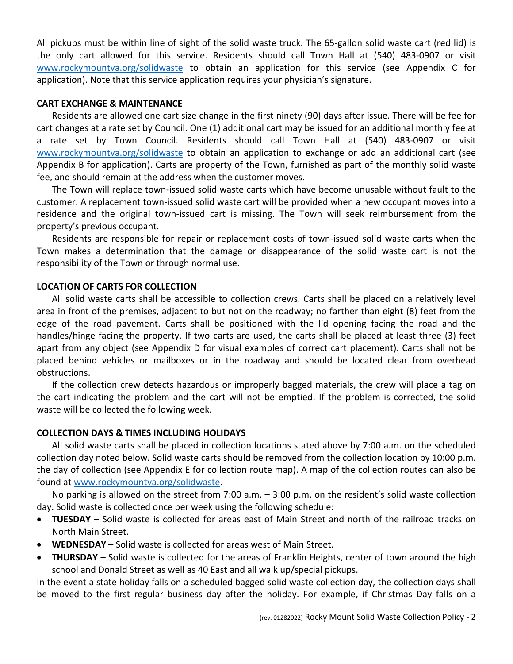All pickups must be within line of sight of the solid waste truck. The 65-gallon solid waste cart (red lid) is the only cart allowed for this service. Residents should call Town Hall at (540) 483-0907 or visit [www.rockymountva.org/solidwaste](http://www.rockymountva.org/solidwaste) to obtain an application for this service (see Appendix C for application). Note that this service application requires your physician's signature.

### **CART EXCHANGE & MAINTENANCE**

Residents are allowed one cart size change in the first ninety (90) days after issue. There will be fee for cart changes at a rate set by Council. One (1) additional cart may be issued for an additional monthly fee at a rate set by Town Council. Residents should call Town Hall at (540) 483-0907 or visit [www.rockymountva.org/s](http://www.rockymountva.org/)olidwaste to obtain an application to exchange or add an additional cart (see Appendix B for application). Carts are property of the Town, furnished as part of the monthly solid waste fee, and should remain at the address when the customer moves.

The Town will replace town-issued solid waste carts which have become unusable without fault to the customer. A replacement town-issued solid waste cart will be provided when a new occupant moves into a residence and the original town-issued cart is missing. The Town will seek reimbursement from the property's previous occupant.

Residents are responsible for repair or replacement costs of town-issued solid waste carts when the Town makes a determination that the damage or disappearance of the solid waste cart is not the responsibility of the Town or through normal use.

## **LOCATION OF CARTS FOR COLLECTION**

All solid waste carts shall be accessible to collection crews. Carts shall be placed on a relatively level area in front of the premises, adjacent to but not on the roadway; no farther than eight (8) feet from the edge of the road pavement. Carts shall be positioned with the lid opening facing the road and the handles/hinge facing the property. If two carts are used, the carts shall be placed at least three (3) feet apart from any object (see Appendix D for visual examples of correct cart placement). Carts shall not be placed behind vehicles or mailboxes or in the roadway and should be located clear from overhead obstructions.

If the collection crew detects hazardous or improperly bagged materials, the crew will place a tag on the cart indicating the problem and the cart will not be emptied. If the problem is corrected, the solid waste will be collected the following week.

## **COLLECTION DAYS & TIMES INCLUDING HOLIDAYS**

All solid waste carts shall be placed in collection locations stated above by 7:00 a.m. on the scheduled collection day noted below. Solid waste carts should be removed from the collection location by 10:00 p.m. the day of collection (see Appendix E for collection route map). A map of the collection routes can also be found at [www.rockymountva.org/solidwaste.](http://www.rockymountva.org/solidwaste)

No parking is allowed on the street from 7:00 a.m. – 3:00 p.m. on the resident's solid waste collection day. Solid waste is collected once per week using the following schedule:

- **TUESDAY** Solid waste is collected for areas east of Main Street and north of the railroad tracks on North Main Street.
- **WEDNESDAY** Solid waste is collected for areas west of Main Street.
- **THURSDAY** Solid waste is collected for the areas of Franklin Heights, center of town around the high school and Donald Street as well as 40 East and all walk up/special pickups.

In the event a state holiday falls on a scheduled bagged solid waste collection day, the collection days shall be moved to the first regular business day after the holiday. For example, if Christmas Day falls on a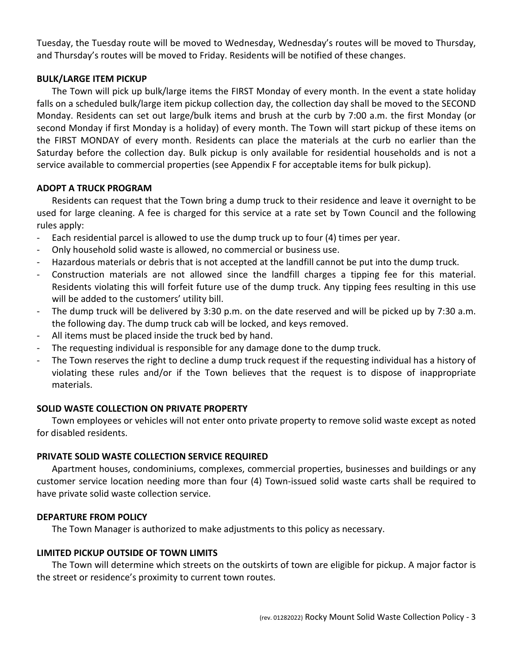Tuesday, the Tuesday route will be moved to Wednesday, Wednesday's routes will be moved to Thursday, and Thursday's routes will be moved to Friday. Residents will be notified of these changes.

### **BULK/LARGE ITEM PICKUP**

The Town will pick up bulk/large items the FIRST Monday of every month. In the event a state holiday falls on a scheduled bulk/large item pickup collection day, the collection day shall be moved to the SECOND Monday. Residents can set out large/bulk items and brush at the curb by 7:00 a.m. the first Monday (or second Monday if first Monday is a holiday) of every month. The Town will start pickup of these items on the FIRST MONDAY of every month. Residents can place the materials at the curb no earlier than the Saturday before the collection day. Bulk pickup is only available for residential households and is not a service available to commercial properties (see Appendix F for acceptable items for bulk pickup).

## **ADOPT A TRUCK PROGRAM**

Residents can request that the Town bring a dump truck to their residence and leave it overnight to be used for large cleaning. A fee is charged for this service at a rate set by Town Council and the following rules apply:

- Each residential parcel is allowed to use the dump truck up to four (4) times per year.
- Only household solid waste is allowed, no commercial or business use.
- Hazardous materials or debris that is not accepted at the landfill cannot be put into the dump truck.
- Construction materials are not allowed since the landfill charges a tipping fee for this material. Residents violating this will forfeit future use of the dump truck. Any tipping fees resulting in this use will be added to the customers' utility bill.
- The dump truck will be delivered by 3:30 p.m. on the date reserved and will be picked up by 7:30 a.m. the following day. The dump truck cab will be locked, and keys removed.
- All items must be placed inside the truck bed by hand.
- The requesting individual is responsible for any damage done to the dump truck.
- The Town reserves the right to decline a dump truck request if the requesting individual has a history of violating these rules and/or if the Town believes that the request is to dispose of inappropriate materials.

## **SOLID WASTE COLLECTION ON PRIVATE PROPERTY**

Town employees or vehicles will not enter onto private property to remove solid waste except as noted for disabled residents.

## **PRIVATE SOLID WASTE COLLECTION SERVICE REQUIRED**

Apartment houses, condominiums, complexes, commercial properties, businesses and buildings or any customer service location needing more than four (4) Town-issued solid waste carts shall be required to have private solid waste collection service.

## **DEPARTURE FROM POLICY**

The Town Manager is authorized to make adjustments to this policy as necessary.

## **LIMITED PICKUP OUTSIDE OF TOWN LIMITS**

The Town will determine which streets on the outskirts of town are eligible for pickup. A major factor is the street or residence's proximity to current town routes.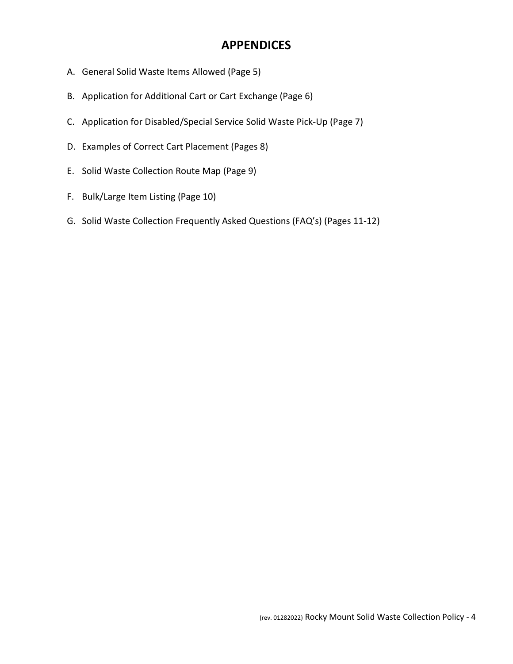## **APPENDICES**

- A. General Solid Waste Items Allowed (Page 5)
- B. Application for Additional Cart or Cart Exchange (Page 6)
- C. Application for Disabled/Special Service Solid Waste Pick-Up (Page 7)
- D. Examples of Correct Cart Placement (Pages 8)
- E. Solid Waste Collection Route Map (Page 9)
- F. Bulk/Large Item Listing (Page 10)
- G. Solid Waste Collection Frequently Asked Questions (FAQ's) (Pages 11-12)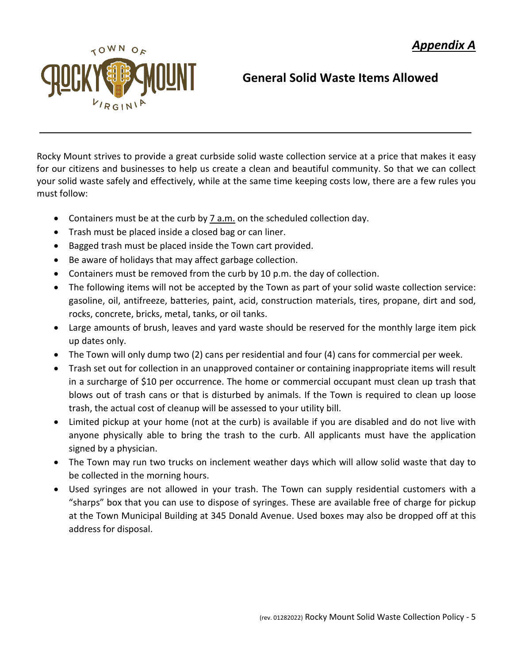

# **General Solid Waste Items Allowed**

Rocky Mount strives to provide a great curbside solid waste collection service at a price that makes it easy for our citizens and businesses to help us create a clean and beautiful community. So that we can collect your solid waste safely and effectively, while at the same time keeping costs low, there are a few rules you must follow:

- Containers must be at the curb by 7 a.m. on the scheduled collection day.
- Trash must be placed inside a closed bag or can liner.
- Bagged trash must be placed inside the Town cart provided.
- Be aware of holidays that may affect garbage collection.
- Containers must be removed from the curb by 10 p.m. the day of collection.
- The following items will not be accepted by the Town as part of your solid waste collection service: gasoline, oil, antifreeze, batteries, paint, acid, construction materials, tires, propane, dirt and sod, rocks, concrete, bricks, metal, tanks, or oil tanks.
- Large amounts of brush, leaves and yard waste should be reserved for the monthly large item pick up dates only.
- The Town will only dump two (2) cans per residential and four (4) cans for commercial per week.
- Trash set out for collection in an unapproved container or containing inappropriate items will result in a surcharge of \$10 per occurrence. The home or commercial occupant must clean up trash that blows out of trash cans or that is disturbed by animals. If the Town is required to clean up loose trash, the actual cost of cleanup will be assessed to your utility bill.
- Limited pickup at your home (not at the curb) is available if you are disabled and do not live with anyone physically able to bring the trash to the curb. All applicants must have the application signed by a physician.
- The Town may run two trucks on inclement weather days which will allow solid waste that day to be collected in the morning hours.
- Used syringes are not allowed in your trash. The Town can supply residential customers with a "sharps" box that you can use to dispose of syringes. These are available free of charge for pickup at the Town Municipal Building at 345 Donald Avenue. Used boxes may also be dropped off at this address for disposal.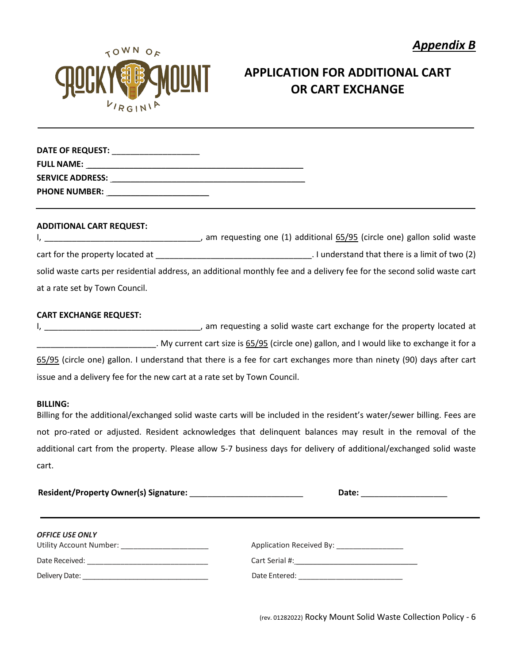

# **APPLICATION FOR ADDITIONAL CART OR CART EXCHANGE**

| DATE OF REQUEST:        |  |
|-------------------------|--|
| <b>FULL NAME:</b>       |  |
| <b>SERVICE ADDRESS:</b> |  |
| <b>PHONE NUMBER:</b>    |  |

#### **ADDITIONAL CART REQUEST:**

I, \_\_\_\_\_\_\_\_\_\_\_\_\_\_\_\_\_\_\_\_\_\_\_\_\_\_\_\_\_\_\_\_\_\_, am requesting one (1) additional 65/95 (circle one) gallon solid waste cart for the property located at  $\qquad \qquad$  . I understand that there is a limit of two (2) solid waste carts per residential address, an additional monthly fee and a delivery fee for the second solid waste cart at a rate set by Town Council.

### **CART EXCHANGE REQUEST:**

I, \_\_\_\_\_\_\_\_\_\_\_\_\_\_\_\_\_\_\_\_\_\_\_\_\_\_\_\_\_\_\_\_\_\_, am requesting a solid waste cart exchange for the property located at Lettian and I would like to exchange it for a lettiant or track of  $65/95$  (circle one) gallon, and I would like to exchange it for a 65/95 (circle one) gallon. I understand that there is a fee for cart exchanges more than ninety (90) days after cart issue and a delivery fee for the new cart at a rate set by Town Council.

#### **BILLING:**

Billing for the additional/exchanged solid waste carts will be included in the resident's water/sewer billing. Fees are not pro-rated or adjusted. Resident acknowledges that delinquent balances may result in the removal of the additional cart from the property. Please allow 5-7 business days for delivery of additional/exchanged solid waste cart.

|                                                 | Date: ______________________              |  |  |
|-------------------------------------------------|-------------------------------------------|--|--|
| <b>OFFICE USE ONLY</b>                          |                                           |  |  |
| Utility Account Number: _______________________ | Application Received By: ________________ |  |  |
|                                                 |                                           |  |  |
|                                                 | Date Entered: ___________________________ |  |  |

(rev. 01282022) Rocky Mount Solid Waste Collection Policy - 6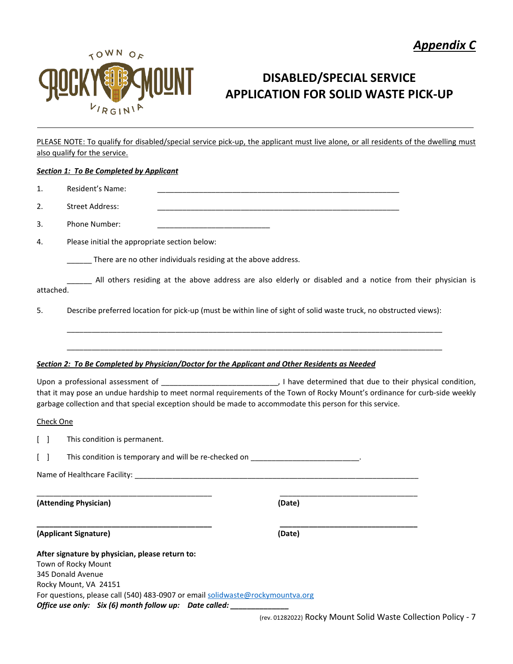



# **DISABLED/SPECIAL SERVICE APPLICATION FOR SOLID WASTE PICK-UP**

PLEASE NOTE: To qualify for disabled/special service pick-up, the applicant must live alone, or all residents of the dwelling must also qualify for the service.

#### *Section 1: To Be Completed by Applicant*

| 1.                              | Resident's Name:                                                                                                     |                                                                                                                                                                                                                                         |  |
|---------------------------------|----------------------------------------------------------------------------------------------------------------------|-----------------------------------------------------------------------------------------------------------------------------------------------------------------------------------------------------------------------------------------|--|
| 2.                              | <b>Street Address:</b>                                                                                               |                                                                                                                                                                                                                                         |  |
| 3.                              | <b>Phone Number:</b>                                                                                                 |                                                                                                                                                                                                                                         |  |
| 4.                              | Please initial the appropriate section below:                                                                        |                                                                                                                                                                                                                                         |  |
|                                 | _____ There are no other individuals residing at the above address.                                                  |                                                                                                                                                                                                                                         |  |
| attached.                       |                                                                                                                      | All others residing at the above address are also elderly or disabled and a notice from their physician is                                                                                                                              |  |
| 5.                              |                                                                                                                      | Describe preferred location for pick-up (must be within line of sight of solid waste truck, no obstructed views):                                                                                                                       |  |
|                                 |                                                                                                                      |                                                                                                                                                                                                                                         |  |
|                                 |                                                                                                                      |                                                                                                                                                                                                                                         |  |
|                                 |                                                                                                                      | Section 2: To Be Completed by Physician/Doctor for the Applicant and Other Residents as Needed                                                                                                                                          |  |
|                                 |                                                                                                                      | that it may pose an undue hardship to meet normal requirements of the Town of Rocky Mount's ordinance for curb-side weekly<br>garbage collection and that special exception should be made to accommodate this person for this service. |  |
| Check One                       |                                                                                                                      |                                                                                                                                                                                                                                         |  |
| $\begin{bmatrix} \end{bmatrix}$ | This condition is permanent.                                                                                         |                                                                                                                                                                                                                                         |  |
| $\begin{bmatrix} \end{bmatrix}$ |                                                                                                                      | This condition is temporary and will be re-checked on __________________________.                                                                                                                                                       |  |
|                                 |                                                                                                                      |                                                                                                                                                                                                                                         |  |
|                                 | (Attending Physician)                                                                                                | (Date)                                                                                                                                                                                                                                  |  |
|                                 | (Applicant Signature)                                                                                                | (Date)                                                                                                                                                                                                                                  |  |
|                                 | After signature by physician, please return to:<br>Town of Rocky Mount<br>345 Donald Avenue<br>Rocky Mount, VA 24151 |                                                                                                                                                                                                                                         |  |

For questions, please call (540) 483-0907 or email [solidwaste@rockymountva.org](mailto:solidwaste@rockymountva.org) *Office use only: Six (6) month follow up: Date called: \_\_\_\_\_\_\_\_\_\_\_\_\_\_*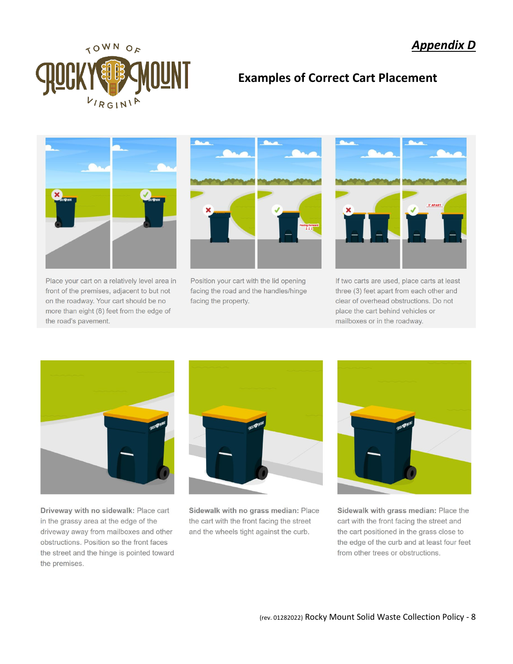

## **Examples of Correct Cart Placement**



Place your cart on a relatively level area in front of the premises, adjacent to but not on the roadway. Your cart should be no more than eight (8) feet from the edge of the road's pavement.



Position your cart with the lid opening facing the road and the handles/hinge facing the property.



If two carts are used, place carts at least three (3) feet apart from each other and clear of overhead obstructions. Do not place the cart behind vehicles or mailboxes or in the roadway.



Driveway with no sidewalk: Place cart in the grassy area at the edge of the driveway away from mailboxes and other obstructions. Position so the front faces the street and the hinge is pointed toward the premises.



Sidewalk with no grass median: Place the cart with the front facing the street and the wheels tight against the curb.



Sidewalk with grass median: Place the cart with the front facing the street and the cart positioned in the grass close to the edge of the curb and at least four feet from other trees or obstructions.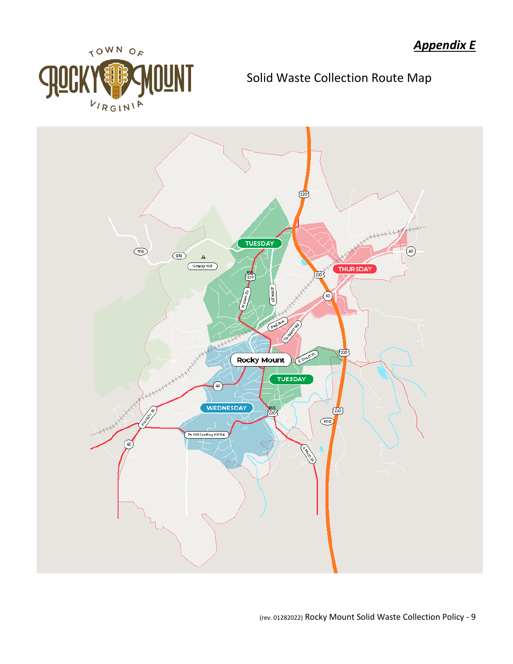

Solid Waste Collection Route Map

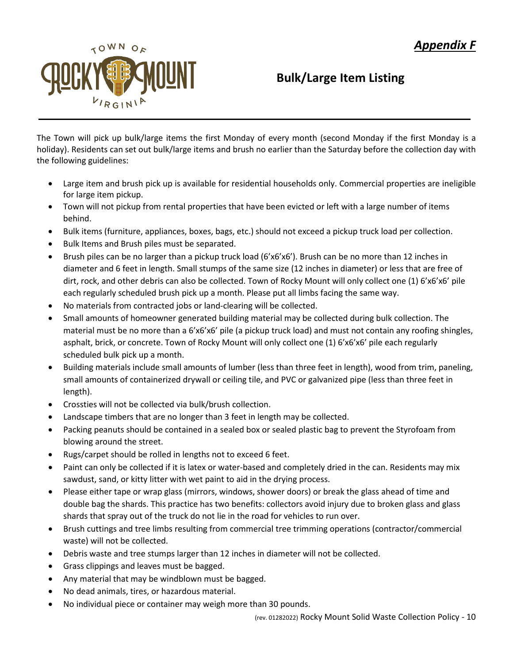

# **Bulk/Large Item Listing**

The Town will pick up bulk/large items the first Monday of every month (second Monday if the first Monday is a holiday). Residents can set out bulk/large items and brush no earlier than the Saturday before the collection day with the following guidelines:

- Large item and brush pick up is available for residential households only. Commercial properties are ineligible for large item pickup.
- Town will not pickup from rental properties that have been evicted or left with a large number of items behind.
- Bulk items (furniture, appliances, boxes, bags, etc.) should not exceed a pickup truck load per collection.
- Bulk Items and Brush piles must be separated.
- Brush piles can be no larger than a pickup truck load (6'x6'x6'). Brush can be no more than 12 inches in diameter and 6 feet in length. Small stumps of the same size (12 inches in diameter) or less that are free of dirt, rock, and other debris can also be collected. Town of Rocky Mount will only collect one (1) 6'x6'x6' pile each regularly scheduled brush pick up a month. Please put all limbs facing the same way.
- No materials from contracted jobs or land-clearing will be collected.
- Small amounts of homeowner generated building material may be collected during bulk collection. The material must be no more than a 6'x6'x6' pile (a pickup truck load) and must not contain any roofing shingles, asphalt, brick, or concrete. Town of Rocky Mount will only collect one (1) 6'x6'x6' pile each regularly scheduled bulk pick up a month.
- Building materials include small amounts of lumber (less than three feet in length), wood from trim, paneling, small amounts of containerized drywall or ceiling tile, and PVC or galvanized pipe (less than three feet in length).
- Crossties will not be collected via bulk/brush collection.
- Landscape timbers that are no longer than 3 feet in length may be collected.
- Packing peanuts should be contained in a sealed box or sealed plastic bag to prevent the Styrofoam from blowing around the street.
- Rugs/carpet should be rolled in lengths not to exceed 6 feet.
- Paint can only be collected if it is latex or water-based and completely dried in the can. Residents may mix sawdust, sand, or kitty litter with wet paint to aid in the drying process.
- Please either tape or wrap glass (mirrors, windows, shower doors) or break the glass ahead of time and double bag the shards. This practice has two benefits: collectors avoid injury due to broken glass and glass shards that spray out of the truck do not lie in the road for vehicles to run over.
- Brush cuttings and tree limbs resulting from commercial tree trimming operations (contractor/commercial waste) will not be collected.
- Debris waste and tree stumps larger than 12 inches in diameter will not be collected.
- Grass clippings and leaves must be bagged.
- Any material that may be windblown must be bagged.
- No dead animals, tires, or hazardous material.
- No individual piece or container may weigh more than 30 pounds.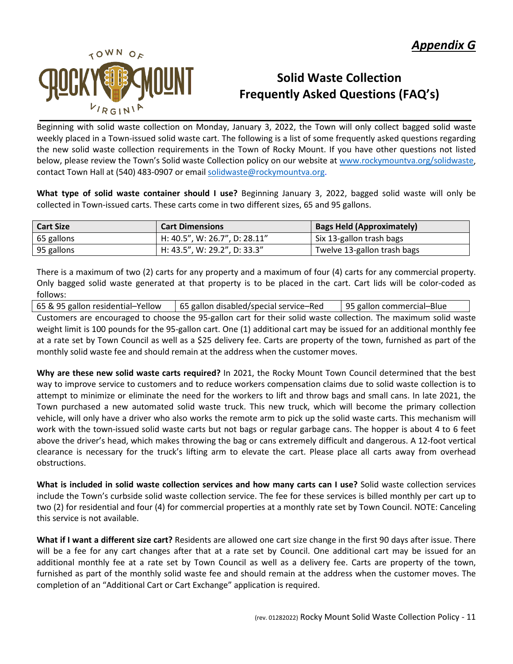

# **Solid Waste Collection Frequently Asked Questions (FAQ's)**

Beginning with solid waste collection on Monday, January 3, 2022, the Town will only collect bagged solid waste weekly placed in a Town-issued solid waste cart. The following is a list of some frequently asked questions regarding the new solid waste collection requirements in the Town of Rocky Mount. If you have other questions not listed below, please review the Town's Solid waste Collection policy on our website at [www.rockymountva.org/solidwaste,](http://www.rockymountva.org/solidwaste) contact Town Hall at (540) 483-0907 or email [solidwaste@rockymountva.org.](mailto:solidwaste@rockymountva.org)

**What type of solid waste container should I use?** Beginning January 3, 2022, bagged solid waste will only be collected in Town-issued carts. These carts come in two different sizes, 65 and 95 gallons.

| <b>Cart Size</b> | <b>Cart Dimensions</b>        | <b>Bags Held (Approximately)</b> |
|------------------|-------------------------------|----------------------------------|
| 65 gallons       | H: 40.5", W: 26.7", D: 28.11" | Six 13-gallon trash bags         |
| 95 gallons       | H: 43.5", W: 29.2", D: 33.3"  | Twelve 13-gallon trash bags      |

There is a maximum of two (2) carts for any property and a maximum of four (4) carts for any commercial property. Only bagged solid waste generated at that property is to be placed in the cart. Cart lids will be color-coded as follows:

65 & 95 gallon residential–Yellow | 65 gallon disabled/special service–Red | 95 gallon commercial–Blue

Customers are encouraged to choose the 95-gallon cart for their solid waste collection. The maximum solid waste weight limit is 100 pounds for the 95-gallon cart. One (1) additional cart may be issued for an additional monthly fee at a rate set by Town Council as well as a \$25 delivery fee. Carts are property of the town, furnished as part of the monthly solid waste fee and should remain at the address when the customer moves.

**Why are these new solid waste carts required?** In 2021, the Rocky Mount Town Council determined that the best way to improve service to customers and to reduce workers compensation claims due to solid waste collection is to attempt to minimize or eliminate the need for the workers to lift and throw bags and small cans. In late 2021, the Town purchased a new automated solid waste truck. This new truck, which will become the primary collection vehicle, will only have a driver who also works the remote arm to pick up the solid waste carts. This mechanism will work with the town-issued solid waste carts but not bags or regular garbage cans. The hopper is about 4 to 6 feet above the driver's head, which makes throwing the bag or cans extremely difficult and dangerous. A 12-foot vertical clearance is necessary for the truck's lifting arm to elevate the cart. Please place all carts away from overhead obstructions.

**What is included in solid waste collection services and how many carts can I use?** Solid waste collection services include the Town's curbside solid waste collection service. The fee for these services is billed monthly per cart up to two (2) for residential and four (4) for commercial properties at a monthly rate set by Town Council. NOTE: Canceling this service is not available.

**What if I want a different size cart?** Residents are allowed one cart size change in the first 90 days after issue. There will be a fee for any cart changes after that at a rate set by Council. One additional cart may be issued for an additional monthly fee at a rate set by Town Council as well as a delivery fee. Carts are property of the town, furnished as part of the monthly solid waste fee and should remain at the address when the customer moves. The completion of an "Additional Cart or Cart Exchange" application is required.